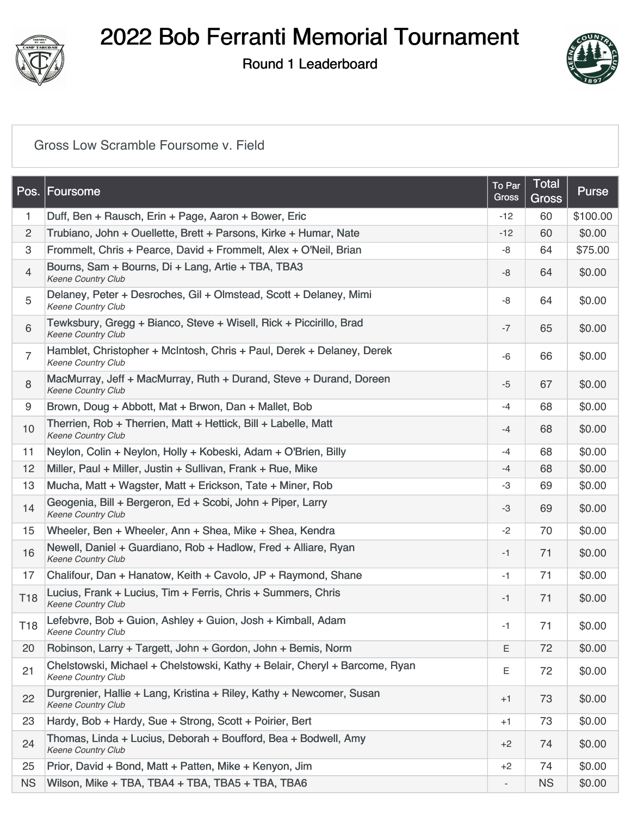

Round 1 Leaderboard



#### [Gross Low Scramble Foursome v. Field](https://static.golfgenius.com/v2tournaments/8485756952029189681?called_from=&round_index=1)

| Pos.            | <b>Foursome</b>                                                                                         | To Par<br><b>Gross</b> | Total<br>Gross | Purse    |
|-----------------|---------------------------------------------------------------------------------------------------------|------------------------|----------------|----------|
| 1               | Duff, Ben + Rausch, Erin + Page, Aaron + Bower, Eric                                                    | $-12$                  | 60             | \$100.00 |
| $\overline{c}$  | Trubiano, John + Ouellette, Brett + Parsons, Kirke + Humar, Nate                                        | $-12$                  | 60             | \$0.00   |
| 3               | Frommelt, Chris + Pearce, David + Frommelt, Alex + O'Neil, Brian                                        | -8                     | 64             | \$75.00  |
| $\overline{4}$  | Bourns, Sam + Bourns, Di + Lang, Artie + TBA, TBA3<br>Keene Country Club                                | -8                     | 64             | \$0.00   |
| 5               | Delaney, Peter + Desroches, Gil + Olmstead, Scott + Delaney, Mimi<br>Keene Country Club                 | -8                     | 64             | \$0.00   |
| 6               | Tewksbury, Gregg + Bianco, Steve + Wisell, Rick + Piccirillo, Brad<br>Keene Country Club                | $-7$                   | 65             | \$0.00   |
| $\overline{7}$  | Hamblet, Christopher + McIntosh, Chris + Paul, Derek + Delaney, Derek<br><b>Keene Country Club</b>      | $-6$                   | 66             | \$0.00   |
| $\,8\,$         | MacMurray, Jeff + MacMurray, Ruth + Durand, Steve + Durand, Doreen<br>Keene Country Club                | $-5$                   | 67             | \$0.00   |
| 9               | Brown, Doug + Abbott, Mat + Brwon, Dan + Mallet, Bob                                                    | $-4$                   | 68             | \$0.00   |
| $10$            | Therrien, Rob + Therrien, Matt + Hettick, Bill + Labelle, Matt<br><b>Keene Country Club</b>             | $-4$                   | 68             | \$0.00   |
| 11              | Neylon, Colin + Neylon, Holly + Kobeski, Adam + O'Brien, Billy                                          | $-4$                   | 68             | \$0.00   |
| 12              | Miller, Paul + Miller, Justin + Sullivan, Frank + Rue, Mike                                             | $-4$                   | 68             | \$0.00   |
| 13              | Mucha, Matt + Wagster, Matt + Erickson, Tate + Miner, Rob                                               | -3                     | 69             | \$0.00   |
| 14              | Geogenia, Bill + Bergeron, Ed + Scobi, John + Piper, Larry<br><b>Keene Country Club</b>                 | $-3$                   | 69             | \$0.00   |
| 15              | Wheeler, Ben + Wheeler, Ann + Shea, Mike + Shea, Kendra                                                 | $-2$                   | 70             | \$0.00   |
| 16              | Newell, Daniel + Guardiano, Rob + Hadlow, Fred + Alliare, Ryan<br>Keene Country Club                    | $-1$                   | 71             | \$0.00   |
| 17              | Chalifour, Dan + Hanatow, Keith + Cavolo, JP + Raymond, Shane                                           | $-1$                   | 71             | \$0.00   |
| T <sub>18</sub> | Lucius, Frank + Lucius, Tim + Ferris, Chris + Summers, Chris<br>Keene Country Club                      | $-1$                   | 71             | \$0.00   |
| T <sub>18</sub> | Lefebvre, Bob + Guion, Ashley + Guion, Josh + Kimball, Adam<br><b>Keene Country Club</b>                | $-1$                   | 71             | \$0.00   |
| 20              | Robinson, Larry + Targett, John + Gordon, John + Bemis, Norm                                            | E                      | 72             | \$0.00   |
| 21              | Chelstowski, Michael + Chelstowski, Kathy + Belair, Cheryl + Barcome, Ryan<br><b>Keene Country Club</b> | Ε                      | 72             | \$0.00   |
| 22              | Durgrenier, Hallie + Lang, Kristina + Riley, Kathy + Newcomer, Susan<br>Keene Country Club              | $+1$                   | 73             | \$0.00   |
| 23              | Hardy, Bob + Hardy, Sue + Strong, Scott + Poirier, Bert                                                 | $+1$                   | 73             | \$0.00   |
| 24              | Thomas, Linda + Lucius, Deborah + Boufford, Bea + Bodwell, Amy<br>Keene Country Club                    | $+2$                   | 74             | \$0.00   |
| 25              | Prior, David + Bond, Matt + Patten, Mike + Kenyon, Jim                                                  | $+2$                   | 74             | \$0.00   |
| <b>NS</b>       | Wilson, Mike + TBA, TBA4 + TBA, TBA5 + TBA, TBA6                                                        |                        | <b>NS</b>      | \$0.00   |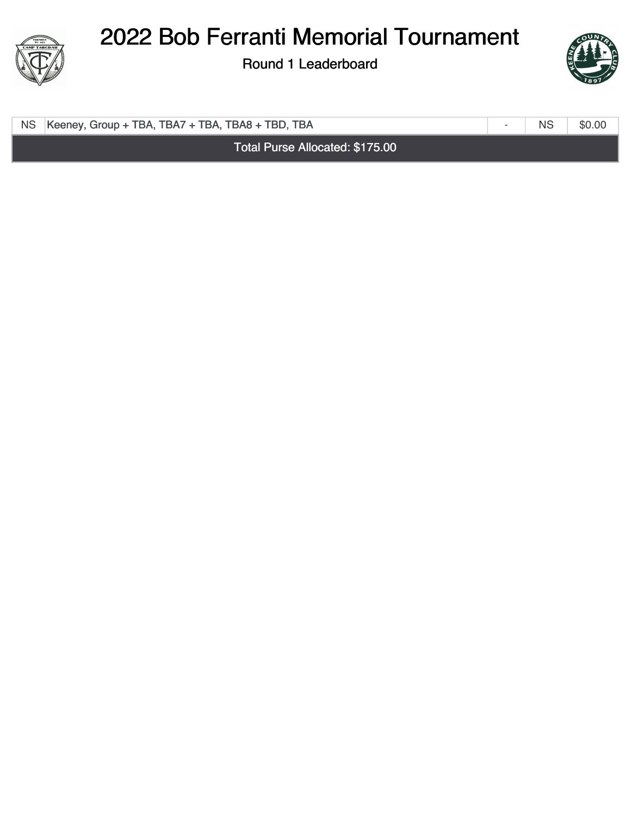

Round 1 Leaderboard



-

NS [Keeney, Group + TBA, TBA7 + TBA, TBA8 + TBD, TBA](https://static.golfgenius.com/tournaments2/details/8491859211699902417) NS NS \$0.00

Total Purse Allocated: \$175.00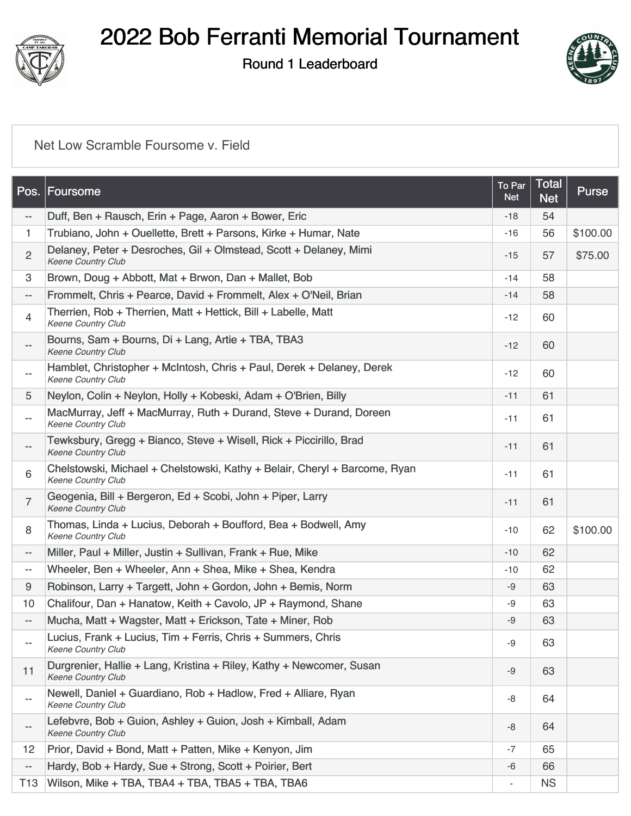

Round 1 Leaderboard



### [Net Low Scramble Foursome v. Field](https://static.golfgenius.com/v2tournaments/8485756956022167090?called_from=&round_index=1)

| Pos.                     | Foursome                                                                                         | To Par<br><b>Net</b>     | <b>Total</b><br><b>Net</b> | Purse    |
|--------------------------|--------------------------------------------------------------------------------------------------|--------------------------|----------------------------|----------|
| --                       | Duff, Ben + Rausch, Erin + Page, Aaron + Bower, Eric                                             | $-18$                    | 54                         |          |
| 1.                       | Trubiano, John + Ouellette, Brett + Parsons, Kirke + Humar, Nate                                 | $-16$                    | 56                         | \$100.00 |
| $\overline{2}$           | Delaney, Peter + Desroches, Gil + Olmstead, Scott + Delaney, Mimi<br>Keene Country Club          | -15                      | 57                         | \$75.00  |
| 3                        | Brown, Doug + Abbott, Mat + Brwon, Dan + Mallet, Bob                                             | $-14$                    | 58                         |          |
| $\qquad \qquad -$        | Frommelt, Chris + Pearce, David + Frommelt, Alex + O'Neil, Brian                                 | $-14$                    | 58                         |          |
| $\overline{4}$           | Therrien, Rob + Therrien, Matt + Hettick, Bill + Labelle, Matt<br>Keene Country Club             | $-12$                    | 60                         |          |
| $\overline{\phantom{a}}$ | Bourns, Sam + Bourns, Di + Lang, Artie + TBA, TBA3<br><b>Keene Country Club</b>                  | $-12$                    | 60                         |          |
| $\overline{\phantom{a}}$ | Hamblet, Christopher + McIntosh, Chris + Paul, Derek + Delaney, Derek<br>Keene Country Club      | $-12$                    | 60                         |          |
| 5                        | Neylon, Colin + Neylon, Holly + Kobeski, Adam + O'Brien, Billy                                   | $-11$                    | 61                         |          |
| $- -$                    | MacMurray, Jeff + MacMurray, Ruth + Durand, Steve + Durand, Doreen<br><b>Keene Country Club</b>  | $-11$                    | 61                         |          |
| $\overline{\phantom{a}}$ | Tewksbury, Gregg + Bianco, Steve + Wisell, Rick + Piccirillo, Brad<br><b>Keene Country Club</b>  | $-11$                    | 61                         |          |
| 6                        | Chelstowski, Michael + Chelstowski, Kathy + Belair, Cheryl + Barcome, Ryan<br>Keene Country Club | $-11$                    | 61                         |          |
| $\overline{7}$           | Geogenia, Bill + Bergeron, Ed + Scobi, John + Piper, Larry<br>Keene Country Club                 | $-11$                    | 61                         |          |
| 8                        | Thomas, Linda + Lucius, Deborah + Boufford, Bea + Bodwell, Amy<br><b>Keene Country Club</b>      | $-10$                    | 62                         | \$100.00 |
| $\overline{\phantom{a}}$ | Miller, Paul + Miller, Justin + Sullivan, Frank + Rue, Mike                                      | $-10$                    | 62                         |          |
| $\overline{\phantom{a}}$ | Wheeler, Ben + Wheeler, Ann + Shea, Mike + Shea, Kendra                                          | $-10$                    | 62                         |          |
| $9\,$                    | Robinson, Larry + Targett, John + Gordon, John + Bemis, Norm                                     | -9                       | 63                         |          |
| 10                       | Chalifour, Dan + Hanatow, Keith + Cavolo, JP + Raymond, Shane                                    | -9                       | 63                         |          |
| $\overline{\phantom{a}}$ | Mucha, Matt + Wagster, Matt + Erickson, Tate + Miner, Rob                                        | -9                       | 63                         |          |
| --                       | Lucius, Frank + Lucius, Tim + Ferris, Chris + Summers, Chris<br><b>Keene Country Club</b>        | -9                       | 63                         |          |
| 11                       | Durgrenier, Hallie + Lang, Kristina + Riley, Kathy + Newcomer, Susan<br>Keene Country Club       | -9                       | 63                         |          |
| --                       | Newell, Daniel + Guardiano, Rob + Hadlow, Fred + Alliare, Ryan<br>Keene Country Club             | -8                       | 64                         |          |
| ÷                        | Lefebvre, Bob + Guion, Ashley + Guion, Josh + Kimball, Adam<br>Keene Country Club                | -8                       | 64                         |          |
| 12                       | Prior, David + Bond, Matt + Patten, Mike + Kenyon, Jim                                           | $-7$                     | 65                         |          |
| $\qquad \qquad -$        | Hardy, Bob + Hardy, Sue + Strong, Scott + Poirier, Bert                                          | -6                       | 66                         |          |
| T13                      | Wilson, Mike + TBA, TBA4 + TBA, TBA5 + TBA, TBA6                                                 | $\overline{\phantom{a}}$ | <b>NS</b>                  |          |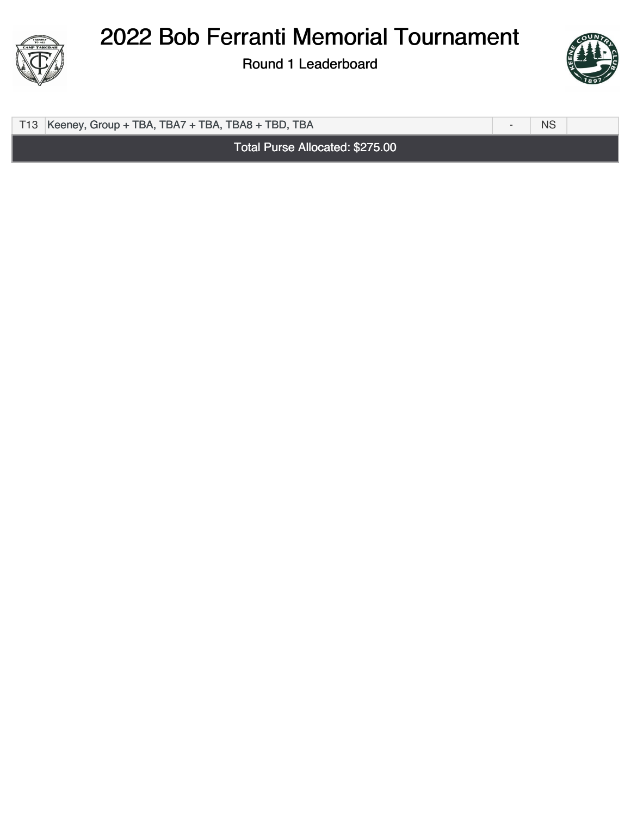

Round 1 Leaderboard



T13 [Keeney, Group + TBA, TBA7 + TBA, TBA8 + TBD, TBA](https://static.golfgenius.com/tournaments2/details/8491859305887193068) NS

Total Purse Allocated: \$275.00



-